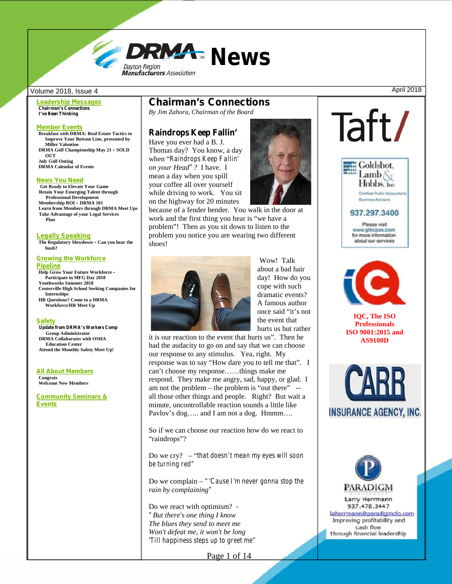

**Leadership Messages [Chairman's Connections](#page-0-0)**

**[I've Been Thinking](#page-1-0)**

#### **[Member](#page-2-0) Events**

**Breakfast with DRMA: Real Estate Tactics to Improve Your Bottom Line, presented by Miller Valentine DRMA Golf Championship May 21 – SOLD OUT July Golf Outing DRMA Calendar of Events**

#### **[News You Need](#page-3-0)**

**[G](#page-3-0)et Ready to Elevate Your Game Retain Your Emerging Talent through Professional Development [Membership ROI](#page-6-0) – DRMA 101 Learn from Members through DRMA Meet Ups Take Advantage of your Legal Services Plan**

#### **Legally [Speaking](#page-7-0)**

**[T](#page-7-0)he Regulatory Slowdown – Can you hear the hush?**

## **[Growing the Workforce](#page-9-0)**

**[Pipeline](#page-9-0)**

**[Help](#page-9-1) Grow Your Future Workforce – Participate in MFG Day 2018 Youthworks Summer 2018 Centerville High School Seeking Companies for Internships HR Questions? Come to a DRMA Workforce/HR Meet Up**

#### **[Safety](#page-7-1)**

**[Update from DRMA's Workers Comp](#page-11-0) [Group Administrator](#page-11-0) DRMA Collaborates with OSHA Education Center Attend the Monthly Safety Meet Up!**

#### **[All About Members](#page-12-0)**

**[Congrats](#page-12-1) Welcome New Members**

**Community Seminars & Events**

## <span id="page-0-0"></span>**Chairman's Connections**

*By Jim Zahora, Chairman of the Board*

## **Raindrops Keep Fallin'**

Have you ever had a B. J. Thomas day? You know, a day when "*Raindrops Keep Fallin' on your Head"?* I have. I mean a day when you spill your coffee all over yourself while driving to work. You sit on the highway for 20 minutes



because of a fender bender. You walk in the door at work and the first thing you hear is "we have a problem"! Then as you sit down to listen to the problem you notice you are wearing two different shoes!



Wow! Talk about a bad hair day! How do you cope with such dramatic events? A famous author once said "it's not the event that hurts us but rather

it is our reaction to the event that hurts us". Then he had the audacity to go on and say that we can choose our response to any stimulus. Yea, right. My response was to say "How dare you to tell me that". I can't choose my response……things make me respond. They make me angry, sad, happy, or glad. I am not the problem – the problem is "out there" - all those other things and people. Right? But wait a minute, uncontrollable reaction sounds a little like Pavlov's dog….. and I am not a dog. Hmmm....

So if we can choose our reaction how do we react to "raindrops"?

Do we cry? – "*that doesn't mean my eyes will soon be turning red"*

Do we complain – *"'Cause I'm never gonna stop the rain by complaining"*

Do we react with optimism? - *"But there's one thing I know The blues they send to meet me Won't defeat me, it won't be long 'Till happiness steps up to greet me"*

Page 1 of 14

# Taft/



Please visit www.glhcpas.com for more information about our services



**IQC, The ISO Professionals [ISO 9001:2015 and](http://www.4iqc.com/) AS9100D**





laherrmann@paradigmcfo.com Improving profitability and cash flow through financial leadership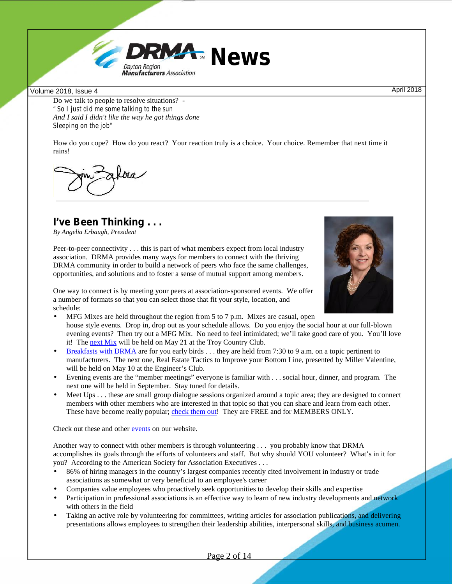

Do we talk to people to resolve situations? - *"So I just did me some talking to the sun And I said I didn't like the way he got things done Sleeping on the job"*

How do you cope? How do you react? Your reaction truly is a choice. Your choice. Remember that next time it rains!

 $\Delta a$ 

<span id="page-1-0"></span>**I've Been Thinking . . .**

*By Angelia Erbaugh, President*

Peer-to-peer connectivity . . . this is part of what members expect from local industry association. DRMA provides many ways for members to connect with the thriving DRMA community in order to build a network of peers who face the same challenges, opportunities, and solutions and to foster a sense of mutual support among members.



One way to connect is by meeting your peers at association-sponsored events. We offer a number of formats so that you can select those that fit your style, location, and schedule:

- MFG Mixes are held throughout the region from 5 to 7 p.m. Mixes are casual, open house style events. Drop in, drop out as your schedule allows. Do you enjoy the social hour at our full-blown evening events? Then try out a MFG Mix. No need to feel intimidated; we'll take good care of you. You'll love it! The [next Mix](http://www.daytonrma.org/events/EventDetails.aspx?id=1081112&group=) will be held on May 21 at the Troy Country Club.
- [Breakfasts with DR](http://www.daytonrma.org/events/EventDetails.aspx?id=1070181&group=)MA are for you early birds . . . they are held from 7:30 to 9 a.m. on a topic pertinent to manufacturers. The next one, Real Estate Tactics to Improve your Bottom Line, presented by Miller Valentine, will be held on May 10 at the Engineer's Club.
- Evening events are the "member meetings" everyone is familiar with . . . social hour, dinner, and program. The next one will be held in September. Stay tuned for details.
- Meet Ups . . . these are small group dialogue sessions organized around a topic area; they are designed to connect members with other members who are interested in that topic so that you can share and learn from each other. These have become really popular; *[check them out!](http://www.daytonrma.org/page/MeetUps)* They are FREE and for MEMBERS ONLY.

Check out these and other **[events](http://www.daytonrma.org/events/event_list.asp)** on our website.

Another way to connect with other members is through volunteering . . . you probably know that DRMA accomplishes its goals through the efforts of volunteers and staff. But why should YOU volunteer? What's in it for you? According to the American Society for Association Executives . . .

- 86% of hiring managers in the country's largest companies recently cited involvement in industry or trade associations as somewhat or very beneficial to an employee's career
- Companies value employees who proactively seek opportunities to develop their skills and expertise
- Participation in professional associations is an effective way to learn of new industry developments and network with others in the field
- Taking an active role by volunteering for committees, writing articles for association publications, and delivering presentations allows employees to strengthen their leadership abilities, interpersonal skills, and business acumen.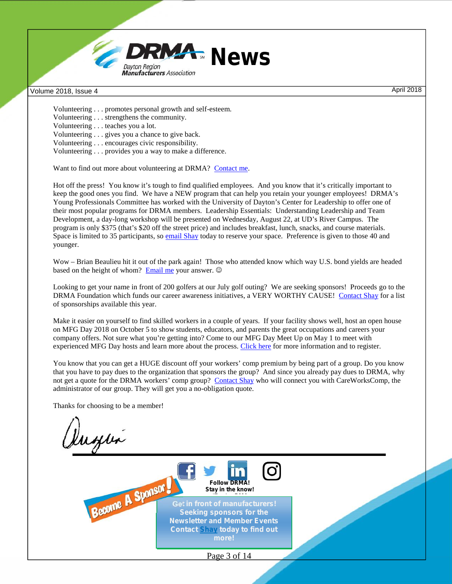

Volunteering . . . promotes personal growth and self-esteem. Volunteering . . . strengthens the community. Volunteering . . . teaches you a lot. Volunteering . . . gives you a chance to give back. Volunteering . . . encourages civic responsibility. Volunteering . . . provides you a way to make a difference.

Want to find out more about volunteering at DRMA? [Contact me](mailto:eerbaugh@daytonrma.org?subject=Volunteering).

Hot off the press! You know it's tough to find qualified employees. And you know that it's critically important to keep the good ones you find. We have a NEW program that can help you retain your younger employees! DRMA's Young Professionals Committee has worked with the University of Dayton's Center for Leadership to offer one of their most popular programs for DRMA members. Leadership Essentials: Understanding Leadership and Team Development, a day-long workshop will be presented on Wednesday, August 22, at UD's River Campus. The program is only \$375 (that's \$20 off the street price) and includes breakfast, lunch, snacks, and course materials. Space is limited to 35 participants, so [email Shay](mailto:sknoll@daytonrma.org?subject=UD%20Leadership%20Course) today to reserve your space. Preference is given to those 40 and younger.

Wow – Brian Beaulieu hit it out of the park again! Those who attended know which way U.S. bond yields are headed based on the height of whom? [Email me](mailto:aerbaugh@daytonrma.org?subject=Beaulieu%20trivia%20question) your answer.

Looking to get your name in front of 200 golfers at our July golf outing? We are seeking sponsors! Proceeds go to the DRMA Foundation which funds our career awareness initiatives, a VERY WORTHY CAUSE! [Contact Shay](mailto:sknoll@daytonrma.org?subject=July%20Golf%20Sponsorships) for a list of sponsorships available this year.

Make it easier on yourself to find skilled workers in a couple of years. If your facility shows well, host an open house on MFG Day 2018 on October 5 to show students, educators, and parents the great occupations and careers your company offers. Not sure what you're getting into? Come to our MFG Day Meet Up on May 1 to meet with experienced MFG Day hosts and learn more about the process. [Click here](http://www.daytonrma.org/events/EventDetails.aspx?id=1089605&group=) for more information and to register.

You know that you can get a HUGE discount off your workers' comp premium by being part of a group. Do you know that you have to pay dues to the organization that sponsors the group? And since you already pay dues to DRMA, why not get a quote for the DRMA workers' comp group? [Contact Shay](mailto:sknoll@daytonrma.org?subject=Workers%20Comp%20Group) who will connect you with CareWorksComp, the administrator of our group. They will get you a no-obligation quote.

Thanks for choosing to be a member!

Suger

<span id="page-2-0"></span>

**Seeking sponsors for the Newsletter and Member Events Contact [Shay](mailto:SKnoll@DaytonRMA.org?subject=DRMA%20Sponsorships) today to find out more!**

Page 3 of 14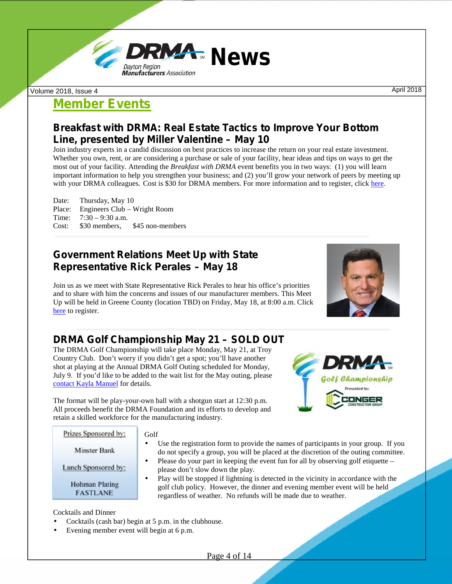<span id="page-3-0"></span>

# **Member Events**

## **Breakfast with DRMA: Real Estate Tactics to Improve Your Bottom Line, presented by Miller Valentine – May 10**

Join industry experts in a candid discussion on best practices to increase the return on your real estate investment. Whether you own, rent, or are considering a purchase or sale of your facility, hear ideas and tips on ways to get the most out of your facility. Attending the *Breakfast with DRMA* event benefits you in two ways: (1) you will learn important information to help you strengthen your business; and (2) you'll grow your network of peers by meeting up with your DRMA colleagues. Cost is \$30 for DRMA members. For more information and to register, click [here](http://www.daytonrma.org/events/EventDetails.aspx?id=1070181&group=).

Date: Thursday, May 10 Place: Engineers Club – Wright Room Time: 7:30 – 9:30 a.m. Cost: \$30 members, \$45 non-members

## **Government Relations Meet Up with State Representative Rick Perales – May 18**

Join us as we meet with State Representative Rick Perales to hear his office's priorities and to share with him the concerns and issues of our manufacturer members. This Meet Up will be held in Greene County (location TBD) on Friday, May 18, at 8:00 a.m. Click [here](http://www.daytonrma.org/events/EventDetails.aspx?id=1088383&group=) to register.

## **DRMA Golf Championship May 21 – SOLD OUT**

The DRMA Golf Championship will take place Monday, May 21, at Troy Country Club. Don't worry if you didn't get a spot; you'll have another shot at playing at the Annual DRMA Golf Outing scheduled for Monday, July 9. If you'd like to be added to the wait list for the May outing, please [contact Kayla Manuel](mailto:kmanuel@daytonrma.org?subject=Gold%20Outing) for details.

The format will be play-your-own ball with a shotgun start at 12:30 p.m. All proceeds benefit the DRMA Foundation and its efforts to develop and retain a skilled workforce for the manufacturing industry.

#### Prizes Sponsored by:

**Minster Bank** 

Lunch Sponsored by:

**Hohman Plating FASTLANE** 

Golf

 Use the registration form to provide the names of participants in your group. If you do not specify a group, you will be placed at the discretion of the outing committee. Please do your part in keeping the event fun for all by observing golf etiquette – please don't slow down the play.

 Play will be stopped if lightning is detected in the vicinity in accordance with the golf club policy. However, the dinner and evening member event will be held regardless of weather. No refunds will be made due to weather.

Cocktails and Dinner

- Cocktails (cash bar) begin at 5 p.m. in the clubhouse.
- Evening member event will begin at 6 p.m.



Championship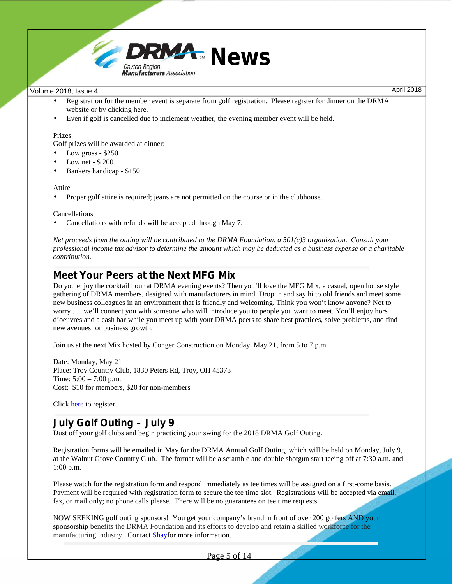

- Registration for the member event is separate from golf registration. Please register for dinner on the DRMA website or by clicking here.
- Even if golf is cancelled due to inclement weather, the evening member event will be held.

#### Prizes

Golf prizes will be awarded at dinner:

- Low gross \$250
- Low net \$ 200
- Bankers handicap \$150

#### Attire

Proper golf attire is required; jeans are not permitted on the course or in the clubhouse.

#### Cancellations

Cancellations with refunds will be accepted through May 7.

*Net proceeds from the outing will be contributed to the DRMA Foundation, a 501(c)3 organization. Consult your professional income tax advisor to determine the amount which may be deducted as a business expense or a charitable contribution.*

## **Meet Your Peers at the Next MFG Mix**

Do you enjoy the cocktail hour at DRMA evening events? Then you'll love the MFG Mix, a casual, open house style gathering of DRMA members, designed with manufacturers in mind. Drop in and say hi to old friends and meet some new business colleagues in an environment that is friendly and welcoming. Think you won't know anyone? Not to worry . . . we'll connect you with someone who will introduce you to people you want to meet. You'll enjoy hors d'oeuvres and a cash bar while you meet up with your DRMA peers to share best practices, solve problems, and find new avenues for business growth.

Join us at the next Mix hosted by Conger Construction on Monday, May 21, from 5 to 7 p.m.

Date: Monday, May 21 Place: Troy Country Club, 1830 Peters Rd, Troy, OH 45373 Time: 5:00 – 7:00 p.m. Cost: \$10 for members, \$20 for non-members

Click here to register.

## **July Golf Outing – July 9**

Dust off your golf clubs and begin practicing your swing for the 2018 DRMA Golf Outing.

Registration forms will be emailed in May for the DRMA Annual Golf Outing, which will be held on Monday, July 9, at the Walnut Grove Country Club. The format will be a scramble and double shotgun start teeing off at 7:30 a.m. and 1:00 p.m.

Please watch for the registration form and respond immediately as tee times will be assigned on a first-come basis. Payment will be required with registration form to secure the tee time slot. Registrations will be accepted via email, fax, or mail only; no phone calls please. There will be no guarantees on tee time requests.

NOW SEEKING golf outing sponsors! You get your company's brand in front of over 200 golfers AND your sponsorship benefits the DRMA Foundation and its efforts to develop and retain a skilled workforce for the manufacturing industry. Contact Shayfor more information.

Page 5 of 14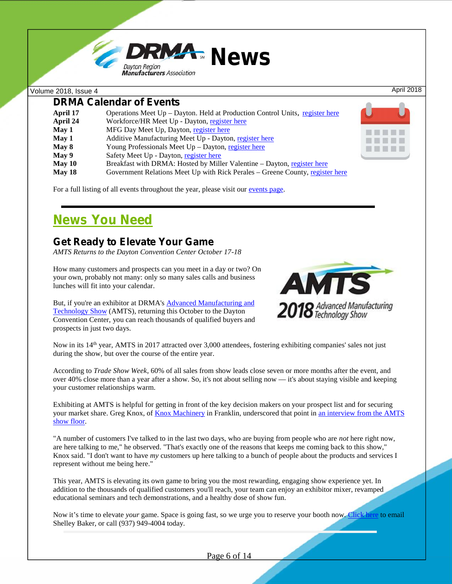

## **DRMA Calendar of Events April 17** Operations Meet Up – Dayton. Held at Production Control Units, [register here](http://www.daytonrma.org/events/EventDetails.aspx?id=1088350&group=) **April 24** Workforce/HR Meet Up - Dayton, [register here](http://www.daytonrma.org/events/EventDetails.aspx?id=1085273&group=) **May 1** MFG Day Meet Up, Dayton, [register here](http://www.daytonrma.org/events/EventDetails.aspx?id=1089605&group=) **May 1** Additive Manufacturing Meet Up - Dayton, [register here](http://www.daytonrma.org/events/EventDetails.aspx?id=1093410&group=) **May 8** Young Professionals Meet Up – Dayton, [register here](http://www.daytonrma.org/events/EventDetails.aspx?id=1094161&group=) **May 9** Safety Meet Up - Dayton, [register here](http://www.daytonrma.org/events/EventDetails.aspx?id=1096523&group=) **May 10** Breakfast with DRMA: Hosted by Miller Valentine – Dayton, [register here](http://www.daytonrma.org/events/EventDetails.aspx?id=1070181&group=) **May 18** Government Relations Meet Up with Rick Perales – Greene County, [register here](http://www.daytonrma.org/events/EventDetails.aspx?id=1088383&group=)



For a full listing of all events throughout the year, please visit our [events page](http://www.daytonrma.org/events/event_list.asp).

# **News You Need**

## **Get Ready to Elevate Your Game**

*AMTS Returns to the Dayton Convention Center October 17-18*

How many customers and prospects can you meet in a day or two? On your own, probably not many: only so many sales calls and business lunches will fit into your calendar.

But, if you're an exhibitor at DRMA's <u>[Advanced Manufacturing and](http://2018.daytonamts.com/)</u><br>
<u>Technology Show</u> (AMTS), returning this October to the Dayton<br>
Convention Center, you can reach thousands of qualified hyvers and [Technology Show](http://2018.daytonamts.com/) (AMTS), returning this October to the Dayton Convention Center, you can reach thousands of qualified buyers and prospects in just two days.



Now in its 14<sup>th</sup> year, AMTS in 2017 attracted over 3,000 attendees, fostering exhibiting companies' sales not just during the show, but over the course of the entire year.

According to *Trade Show Week*, 60% of all sales from show leads close seven or more months after the event, and over 40% close more than a year after a show. So, it's not about selling now — it's about staying visible and keeping your customer relationships warm.

Exhibiting at AMTS is helpful for getting in front of the key decision makers on your prospect list and for securing your market share. Greg Knox, of [Knox Machinery](https://knoxmachinery.com/) in Franklin, underscored that point in [an interview from the AMTS](https://www.youtube.com/watch?v=flv2MJef0n0) [show floor](https://www.youtube.com/watch?v=flv2MJef0n0).

"A number of customers I've talked to in the last two days, who are buying from people who are *not* here right now, are here talking to me," he observed. "That's exactly one of the reasons that keeps me coming back to this show," Knox said. "I don't want to have *my* customers up here talking to a bunch of people about the products and services I represent without me being here."

This year, AMTS is elevating its own game to bring you the most rewarding, engaging show experience yet. In addition to the thousands of qualified customers you'll reach, your team can enjoy an exhibitor mixer, revamped educational seminars and tech demonstrations, and a healthy dose of show fun.

Now it's time to elevate *your* game. Space is going fast, so we urge you to reserve your booth now. [Click here](mailto:sales@daytonrma.org) to email Shelley Baker, or call (937) 949-4004 today.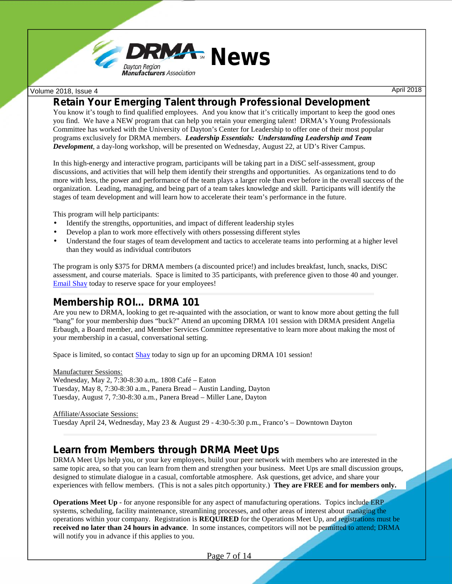

## **Retain Your Emerging Talent through Professional Development**

You know it's tough to find qualified employees. And you know that it's critically important to keep the good ones you find. We have a NEW program that can help you retain your emerging talent! DRMA's Young Professionals Committee has worked with the University of Dayton's Center for Leadership to offer one of their most popular programs exclusively for DRMA members. *Leadership Essentials: Understanding Leadership and Team Development*, a day-long workshop, will be presented on Wednesday, August 22, at UD's River Campus.

In this high-energy and interactive program, participants will be taking part in a DiSC self-assessment, group discussions, and activities that will help them identify their strengths and opportunities. As organizations tend to do more with less, the power and performance of the team plays a larger role than ever before in the overall success of the organization. Leading, managing, and being part of a team takes knowledge and skill. Participants will identify the stages of team development and will learn how to accelerate their team's performance in the future.

This program will help participants:

- Identify the strengths, opportunities, and impact of different leadership styles
- Develop a plan to work more effectively with others possessing different styles
- Understand the four stages of team development and tactics to accelerate teams into performing at a higher level than they would as individual contributors

The program is only \$375 for DRMA members (a discounted price!) and includes breakfast, lunch, snacks, DiSC assessment, and course materials. Space is limited to 35 participants, with preference given to those 40 and younger. [Email Shay](mailto:sknoll@daytonrma.org?subject=UD%20Leadership%20Course) today to reserve space for your employees!

## <span id="page-6-0"></span>**Membership ROI… DRMA 101**

Are you new to DRMA, looking to get re-aquainted with the association, or want to know more about getting the full "bang" for your membership dues "buck?" Attend an upcoming DRMA 101 session with DRMA president Angelia Erbaugh, a Board member, and Member Services Committee representative to learn more about making the most of your membership in a casual, conversational setting.

Space is limited, so contact [Shay](mailto:SKnoll@DaytonRMA.org?subject=DRMA%20101) today to sign up for an upcoming DRMA 101 session!

Manufacturer Sessions: Wednesday, May 2, 7:30-8:30 a.m,. 1808 Café – Eaton Tuesday, May 8, 7:30-8:30 a.m., Panera Bread – Austin Landing, Dayton Tuesday, August 7, 7:30-8:30 a.m., Panera Bread – Miller Lane, Dayton

Affiliate/Associate Sessions: Tuesday April 24, Wednesday, May 23 & August 29 - 4:30-5:30 p.m., Franco's – Downtown Dayton

## **Learn from Members through DRMA Meet Ups**

DRMA Meet Ups help you, or your key employees, build your peer network with members who are interested in the same topic area, so that you can learn from them and strengthen your business. Meet Ups are small discussion groups, designed to stimulate dialogue in a casual, comfortable atmosphere. Ask questions, get advice, and share your experiences with fellow members. (This is not a sales pitch opportunity.) **They are FREE and for members only.**

**Operations Meet Up** - for anyone responsible for any aspect of manufacturing operations. Topics include ERP systems, scheduling, facility maintenance, streamlining processes, and other areas of interest about managing the operations within your company. Registration is **REQUIRED** for the Operations Meet Up, and registrations must be **received no later than 24 hours in advance**. In some instances, competitors will not be permitted to attend; DRMA will notify you in advance if this applies to you.

Page 7 of 14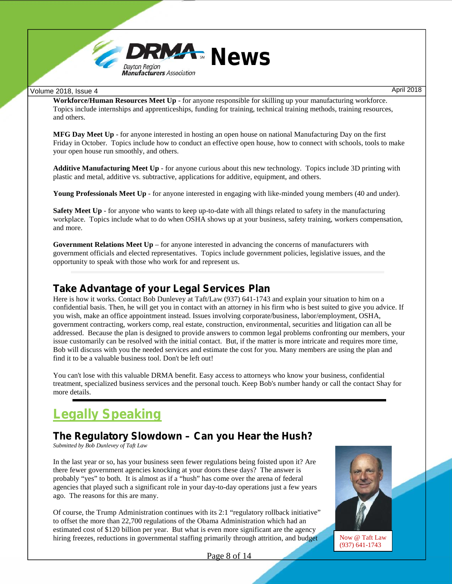

**Workforce/Human Resources Meet Up** - for anyone responsible for skilling up your manufacturing workforce. Topics include internships and apprenticeships, funding for training, technical training methods, training resources, and others.

**MFG Day Meet Up** - for anyone interested in hosting an open house on national Manufacturing Day on the first Friday in October. Topics include how to conduct an effective open house, how to connect with schools, tools to make your open house run smoothly, and others.

**Additive Manufacturing Meet Up** - for anyone curious about this new technology. Topics include 3D printing with plastic and metal, additive vs. subtractive, applications for additive, equipment, and others.

**Young Professionals Meet Up** - for anyone interested in engaging with like-minded young members (40 and under).

**Safety Meet Up** - for anyone who wants to keep up-to-date with all things related to safety in the manufacturing workplace. Topics include what to do when OSHA shows up at your business, safety training, workers compensation, and more.

**Government Relations Meet Up** – for anyone interested in advancing the concerns of manufacturers with government officials and elected representatives. Topics include government policies, legislative issues, and the opportunity to speak with those who work for and represent us.

## **Take Advantage of your Legal Services Plan**

Here is how it works. Contact Bob Dunlevey at Taft/Law (937) 641-1743 and explain your situation to him on a confidential basis. Then, he will get you in contact with an attorney in his firm who is best suited to give you advice. If you wish, make an office appointment instead. Issues involving corporate/business, labor/employment, OSHA, government contracting, workers comp, real estate, construction, environmental, securities and litigation can all be addressed. Because the plan is designed to provide answers to common legal problems confronting our members, your issue customarily can be resolved with the initial contact. But, if the matter is more intricate and requires more time, Bob will discuss with you the needed services and estimate the cost for you. Many members are using the plan and find it to be a valuable business tool. Don't be left out!

You can't lose with this valuable DRMA benefit. Easy access to attorneys who know your business, confidential treatment, specialized business services and the personal touch. Keep Bob's number handy or call the contact Shay for more details.

# <span id="page-7-0"></span>**Legally Speaking**

## **The Regulatory Slowdown – Can you Hear the Hush?**

*Submitted by Bob Dunlevey of Taft Law*

<span id="page-7-1"></span>In the last year or so, has your business seen fewer regulations being foisted upon it? Are there fewer government agencies knocking at your doors these days? The answer is probably "yes" to both. It is almost as if a "hush" has come over the arena of federal agencies that played such a significant role in your day-to-day operations just a few years ago. The reasons for this are many.

Of course, the Trump Administration continues with its 2:1 "regulatory rollback initiative" to offset the more than 22,700 regulations of the Obama Administration which had an estimated cost of \$120 billion per year. But what is even more significant are the agency hiring freezes, reductions in governmental staffing primarily through attrition, and budget



Now @ Taft Law (937) 641-1743

Page 8 of 14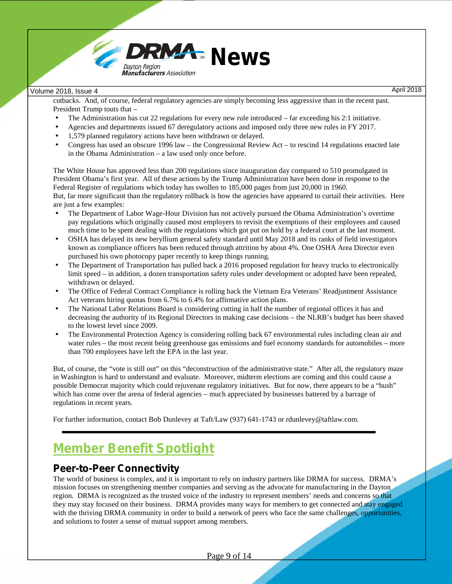

cutbacks. And, of course, federal regulatory agencies are simply becoming less aggressive than in the recent past. President Trump touts that –

- The Administration has cut 22 regulations for every new rule introduced far exceeding his 2:1 initiative.
- Agencies and departments issued 67 deregulatory actions and imposed only three new rules in FY 2017.
- 1,579 planned regulatory actions have been withdrawn or delayed.
- Congress has used an obscure 1996 law the Congressional Review Act to rescind 14 regulations enacted late in the Obama Administration – a law used only once before.

The White House has approved less than 200 regulations since inauguration day compared to 510 promulgated in President Obama's first year. All of these actions by the Trump Administration have been done in response to the Federal Register of regulations which today has swollen to 185,000 pages from just 20,000 in 1960.

But, far more significant than the regulatory rollback is how the agencies have appeared to curtail their activities. Here are just a few examples:

- The Department of Labor Wage-Hour Division has not actively pursued the Obama Administration's overtime pay regulations which originally caused most employers to revisit the exemptions of their employees and caused much time to be spent dealing with the regulations which got put on hold by a federal court at the last moment.
- OSHA has delayed its new beryllium general safety standard until May 2018 and its ranks of field investigators known as compliance officers has been reduced through attrition by about 4%. One OSHA Area Director even purchased his own photocopy paper recently to keep things running.
- The Department of Transportation has pulled back a 2016 proposed regulation for heavy trucks to electronically limit speed – in addition, a dozen transportation safety rules under development or adopted have been repealed, withdrawn or delayed.
- The Office of Federal Contract Compliance is rolling back the Vietnam Era Veterans' Readjustment Assistance Act veterans hiring quotas from 6.7% to 6.4% for affirmative action plans.
- The National Labor Relations Board is considering cutting in half the number of regional offices it has and decreasing the authority of its Regional Directors in making case decisions – the NLRB's budget has been shaved to the lowest level since 2009.
- The Environmental Protection Agency is considering rolling back 67 environmental rules including clean air and water rules – the most recent being greenhouse gas emissions and fuel economy standards for automobiles – more than 700 employees have left the EPA in the last year.

But, of course, the "vote is still out" on this "deconstruction of the administrative state." After all, the regulatory maze in Washington is hard to understand and evaluate. Moreover, midterm elections are coming and this could cause a possible Democrat majority which could rejuvenate regulatory initiatives. But for now, there appears to be a "hush" which has come over the arena of federal agencies – much appreciated by businesses battered by a barrage of regulations in recent years.

For further information, contact Bob Dunlevey at Taft/Law (937) 641-1743 or rdunlevey@taftlaw.com.

# **Member Benefit Spotlight**

## **Peer-to-Peer Connectivity**

The world of business is complex, and it is important to rely on industry partners like DRMA for success. DRMA's mission focuses on strengthening member companies and serving as the advocate for manufacturing in the Dayton region. DRMA is recognized as the trusted voice of the industry to represent members' needs and concerns so that they may stay focused on their business. DRMA provides many ways for members to get connected and stay engaged with the thriving DRMA community in order to build a network of peers who face the same challenges, opportunities, and solutions to foster a sense of mutual support among members.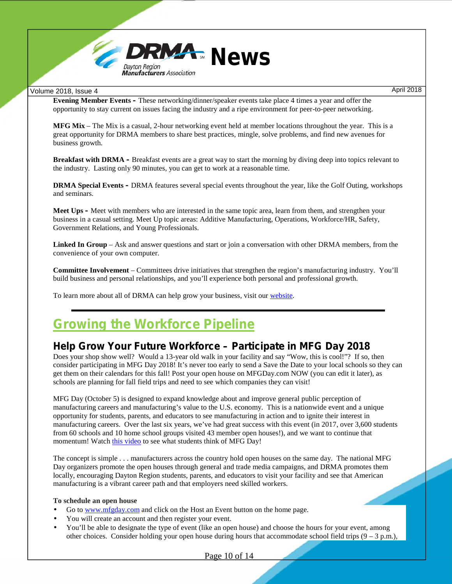

**Evening Member Events –** These networking/dinner/speaker events take place 4 times a year and offer the opportunity to stay current on issues facing the industry and a ripe environment for peer-to-peer networking.

**MFG Mix** – The Mix is a casual, 2-hour networking event held at member locations throughout the year. This is a great opportunity for DRMA members to share best practices, mingle, solve problems, and find new avenues for business growth.

**Breakfast with DRMA –** Breakfast events are a great way to start the morning by diving deep into topics relevant to the industry. Lasting only 90 minutes, you can get to work at a reasonable time.

**DRMA Special Events –** DRMA features several special events throughout the year, like the Golf Outing, workshops and seminars.

**Meet Ups –** Meet with members who are interested in the same topic area, learn from them, and strengthen your business in a casual setting. Meet Up topic areas: Additive Manufacturing, Operations, Workforce/HR, Safety, Government Relations, and Young Professionals.

**Linked In Group** – Ask and answer questions and start or join a conversation with other DRMA members, from the convenience of your own computer.

**Committee Involvement** – Committees drive initiatives that strengthen the region's manufacturing industry. You'll build business and personal relationships, and you'll experience both personal and professional growth.

To learn more about all of DRMA can help grow your business, visit our [website.](http://www.daytonrma.org/)

# <span id="page-9-0"></span>**Growing the Workforce Pipeline**

## <span id="page-9-1"></span>**Help Grow Your Future Workforce – Participate in MFG Day 2018**

Does your shop show well? Would a 13-year old walk in your facility and say "Wow, this is cool!"? If so, then consider participating in MFG Day 2018! It's never too early to send a Save the Date to your local schools so they can get them on their calendars for this fall! Post your open house on MFGDay.com NOW (you can edit it later), as schools are planning for fall field trips and need to see which companies they can visit!

MFG Day (October 5) is designed to expand knowledge about and improve general public perception of manufacturing careers and manufacturing's value to the U.S. economy. This is a nationwide event and a unique opportunity for students, parents, and educators to see manufacturing in action and to ignite their interest in manufacturing careers. Over the last six years, we've had great success with this event (in 2017, over 3,600 students from 60 schools and 10 home school groups visited 43 member open houses!), and we want to continue that momentum! Watch [this video](https://www.youtube.com/watch?v=QIt0Vux1_3w) to see what students think of MFG Day!

The concept is simple . . . manufacturers across the country hold open houses on the same day. The national MFG Day organizers promote the open houses through general and trade media campaigns, and DRMA promotes them locally, encouraging Dayton Region students, parents, and educators to visit your facility and see that American manufacturing is a vibrant career path and that employers need skilled workers.

#### **To schedule an open house**

- Go to [www.mfgday.](http://www.mfgday.com/)com and click on the Host an Event button on the home page.
- You will create an account and then register your event.
- You'll be able to designate the type of event (like an open house) and choose the hours for your event, among other choices. Consider holding your open house during hours that accommodate school field trips  $(9 - 3 p.m.).$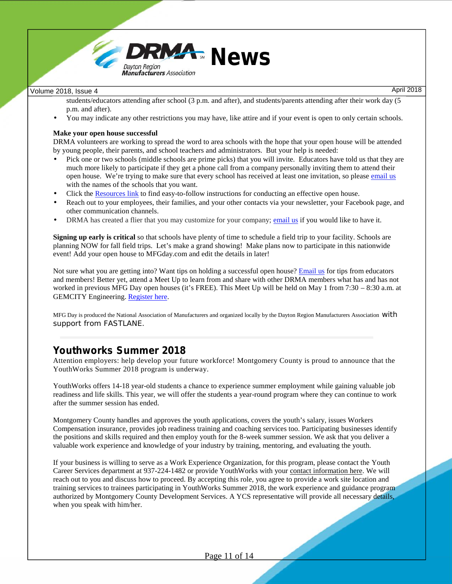

- students/educators attending after school (3 p.m. and after), and students/parents attending after their work day (5 p.m. and after).
- You may indicate any other restrictions you may have, like attire and if your event is open to only certain schools.

#### **Make your open house successful**

DRMA volunteers are working to spread the word to area schools with the hope that your open house will be attended by young people, their parents, and school teachers and administrators. But your help is needed:

- Pick one or two schools (middle schools are prime picks) that you will invite. Educators have told us that they are much more likely to participate if they get a phone call from a company personally inviting them to attend their open house. We're trying to make sure that every school has received at least one invitation, so please [email us](mailto:kmanuel@daytonrma.org) with the names of the schools that you want.
- Click the [Resources](http://www.mfgday.com/resources) link to find easy-to-follow instructions for conducting an effective open house.
- Reach out to your employees, their families, and your other contacts via your newsletter, your Facebook page, and other communication channels.
- DRMA has created a flier that you may customize for your comp[any;](mailto:kmanuel@daytonrma.org) email us if you would like to have it.

**Signing up early is critical** so that schools have plenty of time to schedule a field trip to your facility. Schools are planning NOW for fall field trips. Let's make a grand showing! Make plans now to participate in this nationwide event! Add your open house to MFGday.com and edit the details in later!

Not sure what you are getting into? Want tips on holding a successful open house? [Email us](mailto:kmanuel@daytonrma.org) for tips from educators and members! Better yet, attend a Meet Up to learn from and share with other DRMA members what has and has not worked in previous MFG Day open houses (it's FREE). This Meet Up will be held on May 1 from 7:30 – 8:30 a.m. at GEMCITY Engineering. [Register here](http://www.daytonrma.org/events/EventDetails.aspx?id=1089605&group=).

MFG Day is produced the National Association of Manufacturers and organized locally by the Dayton Region Manufacturers Association *with support from FASTLANE.*

## **Youthworks Summer 2018**

Attention employers: help develop your future workforce! Montgomery County is proud to announce that the YouthWorks Summer 2018 program is underway.

YouthWorks offers 14-18 year-old students a chance to experience summer employment while gaining valuable job readiness and life skills. This year, we will offer the students a year-round program where they can continue to work after the summer session has ended.

Montgomery County handles and approves the youth applications, covers the youth's salary, issues Workers Compensation insurance, provides job readiness training and coaching services too. Participating businesses identify the positions and skills required and then employ youth for the 8-week summer session. We ask that you deliver a valuable work experience and knowledge of your industry by training, mentoring, and evaluating the youth.

If your business is willing to serve as a Work Experience Organization, for this program, please contact the Youth Career Services department at 937-224-1482 or provide YouthWorks with your [contact information here](https://www.surveymonkey.com/r/MYLZJ9M). We will reach out to you and discuss how to proceed. By accepting this role, you agree to provide a work site location and training services to trainees participating in YouthWorks Summer 2018, the work experience and guidance program authorized by Montgomery County Development Services. A YCS representative will provide all necessary details, when you speak with him/her.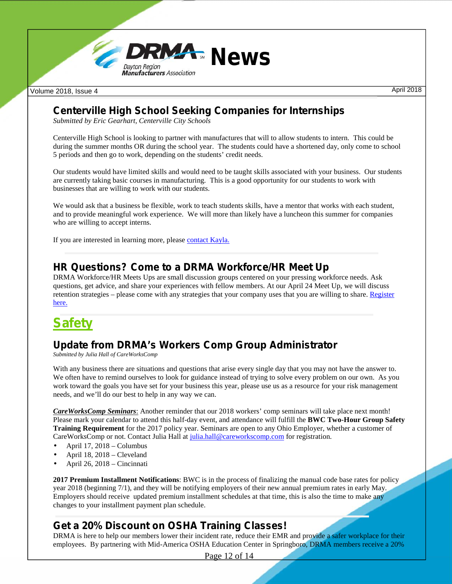

## **Centerville High School Seeking Companies for Internships**

*Submitted by Eric Gearhart, Centerville City Schools*

Centerville High School is looking to partner with manufactures that will to allow students to intern. This could be during the summer months OR during the school year. The students could have a shortened day, only come to school 5 periods and then go to work, depending on the students' credit needs.

Our students would have limited skills and would need to be taught skills associated with your business. Our students are currently taking basic courses in manufacturing. This is a good opportunity for our students to work with businesses that are willing to work with our students.

We would ask that a business be flexible, work to teach students skills, have a mentor that works with each student, and to provide meaningful work experience. We will more than likely have a luncheon this summer for companies who are willing to accept interns.

If you are interested in learning more, please [contact Kayla.](mailto:kmanuel@daytonrma.org?subject=Centerville%20High%20School%20Intern%20Program)

## **HR Questions? Come to a DRMA Workforce/HR Meet Up**

DRMA Workforce/HR Meets Ups are small discussion groups centered on your pressing workforce needs. Ask questions, get advice, and share your experiences with fellow members. At our April 24 Meet Up, we will discuss retention strategies – please come with any strategies that your company uses that you are willing to share. [Register](http://www.daytonrma.org/events/EventDetails.aspx?id=1085273&group=) [here.](http://www.daytonrma.org/events/EventDetails.aspx?id=1085273&group=)

# **Safety**

## <span id="page-11-0"></span>**Update from DRMA's Workers Comp Group Administrator**

*Submitted by Julia Hall of CareWorksComp*

With any business there are situations and questions that arise every single day that you may not have the answer to. We often have to remind ourselves to look for guidance instead of trying to solve every problem on our own. As you work toward the goals you have set for your business this year, please use us as a resource for your risk management needs, and we'll do our best to help in any way we can.

*CareWorksComp Seminars*: Another reminder that our 2018 workers' comp seminars will take place next month! Please mark your calendar to attend this half-day event, and attendance will fulfill the **BWC Two-Hour Group Safety Training Requirement** for the 2017 policy year. Seminars are open to any Ohio Employer, whether a customer of CareWorksComp or not. Contact Julia Hall at [julia.hall@careworkscomp.com](mailto:julia.hall@careworkscomp.com) for registration.

- April 17, 2018 Columbus
- April 18, 2018 Cleveland
- April 26, 2018 Cincinnati

**2017 Premium Installment Notifications**: BWC is in the process of finalizing the manual code base rates for policy year 2018 (beginning 7/1), and they will be notifying employers of their new annual premium rates in early May. Employers should receive updated premium installment schedules at that time, this is also the time to make any changes to your installment payment plan schedule.

## **Get a 20% Discount on OSHA Training Classes!**

DRMA is here to help our members lower their incident rate, reduce their EMR and provide a safer workplace for their employees. By partnering with Mid-America OSHA Education Center in Springboro, DRMA members receive a 20%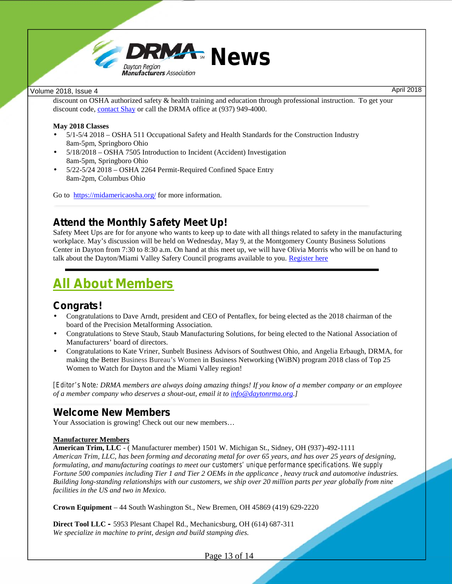

discount on OSHA authorized safety & health training and education through professional instruction. To get your discount code, [contact Shay](mailto:sknoll@daytonrma.org?subject=OSHA%20Discount) or call the DRMA office at (937) 949-4000.

## **May 2018 Classes**

- 5/1-5/4 2018 OSHA 511 Occupational Safety and Health Standards for the Construction Industry 8am-5pm, Springboro Ohio
- 5/18/2018 OSHA 7505 Introduction to Incident (Accident) Investigation 8am-5pm, Springboro Ohio
- 5/22-5/24 2018 OSHA 2264 Permit-Required Confined Space Entry 8am-2pm, Columbus Ohio

Go to <https://midamericaosha.org/> for more information.

## **Attend the Monthly Safety Meet Up!**

Safety Meet Ups are for for anyone who wants to keep up to date with all things related to safety in the manufacturing workplace. May's discussion will be held on Wednesday, May 9, at the Montgomery County Business Solutions Center in Dayton from 7:30 to 8:30 a.m. On hand at this meet up, we will have Olivia Morris who will be on hand to talk about the Dayton/Miami Valley Safery Council programs available to you. [Register here](http://www.daytonrma.org/events/EventDetails.aspx?id=1096523&group=)

# <span id="page-12-0"></span>**All About Members**

## <span id="page-12-1"></span>**Congrats!**

- Congratulations to Dave Arndt, president and CEO of Pentaflex, for being elected as the 2018 chairman of the board of the Precision Metalforming Association.
- Congratulations to Steve Staub, Staub Manufacturing Solutions, for being elected to the National Association of Manufacturers' board of directors.
- Congratulations to Kate Vriner, Sunbelt Business Advisors of Southwest Ohio, and Angelia Erbaugh, DRMA, for making the Better Business Bureau's Women in Business Networking (WiBN) program 2018 class of Top 25 Women to Watch for Dayton and the Miami Valley region!

*[Editor's Note: DRMA members are always doing amazing things! If you know of a member company or an employee of a member company who deserves a shout-out, email it to [info@daytonrma.org](mailto:info@daytonrma.org).]*

## **Welcome New Members**

Your Association is growing! Check out our new members...

## **Manufacturer Members**

**American Trim, LLC** - ( Manufacturer member) 1501 W. Michigan St., Sidney, OH (937)-492-1111 *American Trim, LLC, has been forming and decorating metal for over 65 years, and has over 25 years of designing, formulating, and manufacturing coatings to meet our customers' unique performance specifications. We supply Fortune 500 companies including Tier 1 and Tier 2 OEMs in the applicance , heavy truck and automotive industries. Building long-standing relationships with our customers, we ship over 20 million parts per year globally from nine facilities in the US and two in Mexico.*

**Crown Equipment** – 44 South Washington St., New Bremen, OH 45869 (419) 629-2220

**Direct Tool LLC –** 5953 Plesant Chapel Rd., Mechanicsburg, OH (614) 687-311 *We specialize in machine to print, design and build stamping dies.*